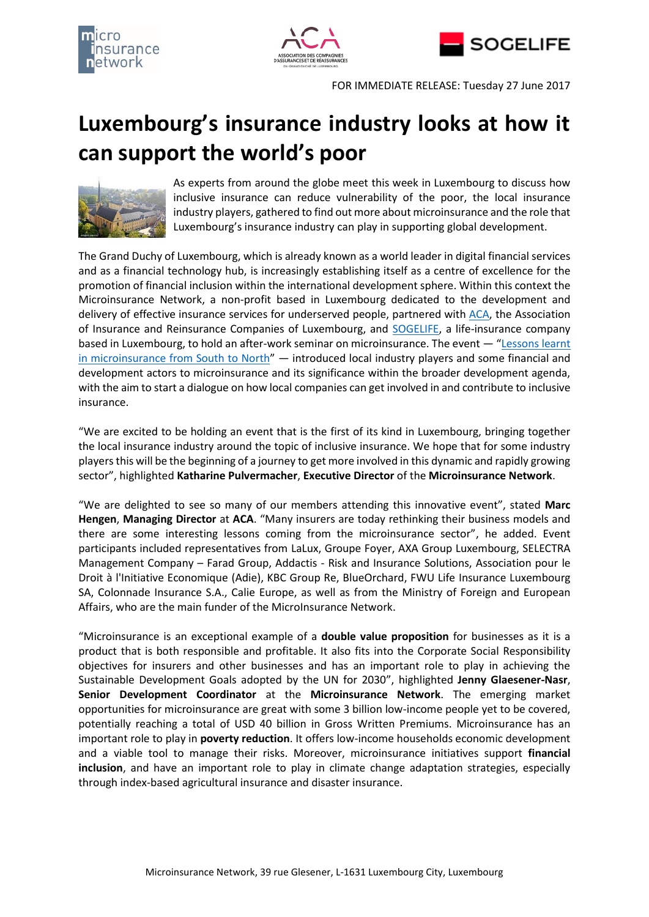





FOR IMMEDIATE RELEASE: Tuesday 27 June 2017

# **Luxembourg's insurance industry looks at how it can support the world's poor**



As experts from around the globe meet this week in Luxembourg to discuss how inclusive insurance can reduce vulnerability of the poor, the local insurance industry players, gathered to find out more about microinsurance and the role that Luxembourg's insurance industry can play in supporting global development.

The Grand Duchy of Luxembourg, which is already known as a world leader in digital financial services and as a financial technology hub, is increasingly establishing itself as a centre of excellence for the promotion of financial inclusion within the international development sphere. Within this context the Microinsurance Network, a non-profit based in Luxembourg dedicated to the development and delivery of effective insurance services for underserved people, partnered with [ACA,](http://www.aca.lu/) the Association of Insurance and Reinsurance Companies of Luxembourg, and [SOGELIFE,](http://www.sogelife.com/en_US/) a life-insurance company based in Luxembourg, to hold an after-work seminar on microinsurance. The event — "[Lessons learnt](http://www.microinsurancenetwork.org/civicrm/event/info?id=161&reset=1)  [in microinsurance from South to North](http://www.microinsurancenetwork.org/civicrm/event/info?id=161&reset=1)" — introduced local industry players and some financial and development actors to microinsurance and its significance within the broader development agenda, with the aim to start a dialogue on how local companies can get involved in and contribute to inclusive insurance.

"We are excited to be holding an event that is the first of its kind in Luxembourg, bringing together the local insurance industry around the topic of inclusive insurance. We hope that for some industry players this will be the beginning of a journey to get more involved in this dynamic and rapidly growing sector", highlighted **Katharine Pulvermacher**, **Executive Director** of the **Microinsurance Network**.

"We are delighted to see so many of our members attending this innovative event", stated **Marc Hengen**, **Managing Director** at **ACA**. "Many insurers are today rethinking their business models and there are some interesting lessons coming from the microinsurance sector", he added. Event participants included representatives from LaLux, Groupe Foyer, AXA Group Luxembourg, SELECTRA Management Company – Farad Group, Addactis - Risk and Insurance Solutions, Association pour le Droit à l'Initiative Economique (Adie), KBC Group Re, BlueOrchard, FWU Life Insurance Luxembourg SA, Colonnade Insurance S.A., Calie Europe, as well as from the Ministry of Foreign and European Affairs, who are the main funder of the MicroInsurance Network.

"Microinsurance is an exceptional example of a **double value proposition** for businesses as it is a product that is both responsible and profitable. It also fits into the Corporate Social Responsibility objectives for insurers and other businesses and has an important role to play in achieving the Sustainable Development Goals adopted by the UN for 2030", highlighted **Jenny Glaesener-Nasr**, **Senior Development Coordinator** at the **Microinsurance Network**. The emerging market opportunities for microinsurance are great with some 3 billion low-income people yet to be covered, potentially reaching a total of USD 40 billion in Gross Written Premiums. Microinsurance has an important role to play in **poverty reduction**. It offers low-income households economic development and a viable tool to manage their risks. Moreover, microinsurance initiatives support **financial inclusion**, and have an important role to play in climate change adaptation strategies, especially through index-based agricultural insurance and disaster insurance.